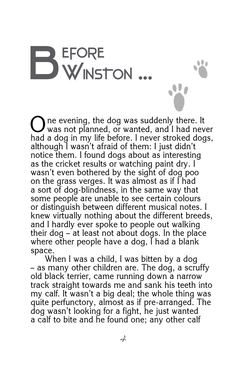## B<sub>EFORE</sub> Winston ...

One evening, the dog was suddenly there. It<br>was not planned, or wanted, and I had never<br>had a dag in my life before. I naver streked dags had a dog in my life before. I never stroked dogs, although I wasn't afraid of them: I just didn't notice them. I found dogs about as interesting as the cricket results or watching paint dry. I wasn't even bothered by the sight of dog poo on the grass verges. It was almost as if I had a sort of dog-blindness, in the same way that some people are unable to see certain colours or distinguish between different musical notes. I knew virtually nothing about the different breeds, and I hardly ever spoke to people out walking their dog – at least not about dogs. In the place where other people have a dog, I had a blank space.

When I was a child, I was bitten by a dog – as many other children are. The dog, a scruffy old black terrier, came running down a narrow track straight towards me and sank his teeth into my calf. It wasn't a big deal; the whole thing was quite perfunctory, almost as if pre-arranged. The dog wasn't looking for a fight, he just wanted a calf to bite and he found one; any other calf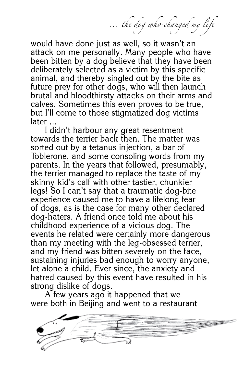*... the dog who changed my life*

would have done just as well, so it wasn't an attack on me personally. Many people who have been bitten by a dog believe that they have been deliberately selected as a victim by this specific animal, and thereby singled out by the bite as future prey for other dogs, who will then launch brutal and bloodthirsty attacks on their arms and calves. Sometimes this even proves to be true, but I'll come to those stigmatized dog victims later ...

I didn't harbour any great resentment towards the terrier back then. The matter was sorted out by a tetanus injection, a bar of Toblerone, and some consoling words from my parents. In the years that followed, presumably, the terrier managed to replace the taste of my skinny kid's calf with other tastier, chunkier legs! So I can't say that a traumatic dog-bite experience caused me to have a lifelong fear of dogs, as is the case for many other declared dog-haters. A friend once told me about his childhood experience of a vicious dog. The events he related were certainly more dangerous than my meeting with the leg-obsessed terrier, and my friend was bitten severely on the face, sustaining injuries bad enough to worry anyone, let alone a child. Ever since, the anxiety and hatred caused by this event have resulted in his strong dislike of dogs.

A few years ago it happened that we were both in Beijing and went to a restaurant

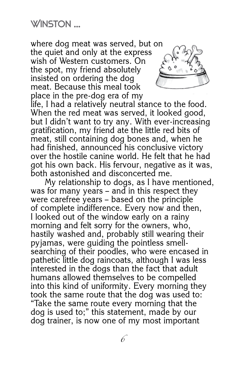where dog meat was served, but on the quiet and only at the express wish of Western customers. On the spot, my friend absolutely insisted on ordering the dog meat. Because this meal took place in the pre-dog era of my



life, I had a relatively neutral stance to the food. When the red meat was served, it looked good, but I didn't want to try any. With ever-increasing gratification, my friend ate the little red bits of meat, still containing dog bones and, when he had finished, announced his conclusive victory over the hostile canine world. He felt that he had got his own back. His fervour, negative as it was, both astonished and disconcerted me.

My relationship to dogs, as I have mentioned, was for many years – and in this respect they were carefree years – based on the principle of complete indifference. Every now and then, I looked out of the window early on a rainy morning and felt sorry for the owners, who, hastily washed and, probably still wearing their pyjamas, were guiding the pointless smellsearching of their poodles, who were encased in pathetic little dog raincoats, although I was less interested in the dogs than the fact that adult humans allowed themselves to be compelled into this kind of uniformity. Every morning they took the same route that the dog was used to: "Take the same route every morning that the dog is used to;" this statement, made by our dog trainer, is now one of my most important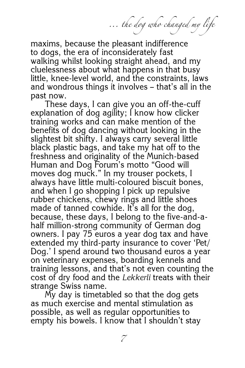*... the dog who changed my life*

maxims, because the pleasant indifference to dogs, the era of inconsiderately fast walking whilst looking straight ahead, and my cluelessness about what happens in that busy little, knee-level world, and the constraints, laws and wondrous things it involves – that's all in the past now.

These days, I can give you an off-the-cuff explanation of dog agility; I know how clicker training works and can make mention of the benefits of dog dancing without looking in the slightest bit shifty. I always carry several little black plastic bags, and take my hat off to the freshness and originality of the Munich-based Human and Dog Forum's motto "Good will moves dog muck." In my trouser pockets, I always have little multi-coloured biscuit bones, and when I go shopping I pick up repulsive rubber chickens, chewy rings and little shoes made of tanned cowhide. It's all for the dog, because, these days, I belong to the five-and-ahalf million-strong community of German dog owners. I pay 75 euros a year dog tax and have extended my third-party insurance to cover 'Pet/ Dog.' I spend around two thousand euros a year on veterinary expenses, boarding kennels and training lessons, and that's not even counting the cost of dry food and the *Lekkerli* treats with their strange Swiss name.

My day is timetabled so that the dog gets as much exercise and mental stimulation as possible, as well as regular opportunities to empty his bowels. I know that I shouldn't stay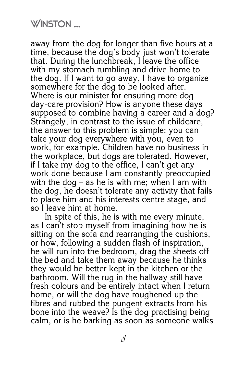WINSTON ...

away from the dog for longer than five hours at a time, because the dog's body just won't tolerate that. During the lunchbreak, I leave the office with my stomach rumbling and drive home to the dog. If I want to go away, I have to organize somewhere for the dog to be looked after. Where is our minister for ensuring more dog day-care provision? How is anyone these days supposed to combine having a career and a dog? Strangely, in contrast to the issue of childcare, the answer to this problem is simple: you can take your dog everywhere with you, even to work, for example. Children have no business in the workplace, but dogs are tolerated. However, if I take my dog to the office, I can't get any work done because I am constantly preoccupied with the dog – as he is with me; when I am with the dog, he doesn't tolerate any activity that fails to place him and his interests centre stage, and so I leave him at home.

In spite of this, he is with me every minute, as I can't stop myself from imagining how he is sitting on the sofa and rearranging the cushions, or how, following a sudden flash of inspiration, he will run into the bedroom, drag the sheets off the bed and take them away because he thinks they would be better kept in the kitchen or the bathroom. Will the rug in the hallway still have fresh colours and be entirely intact when I return home, or will the dog have roughened up the fibres and rubbed the pungent extracts from his bone into the weave? Is the dog practising being calm, or is he barking as soon as someone walks